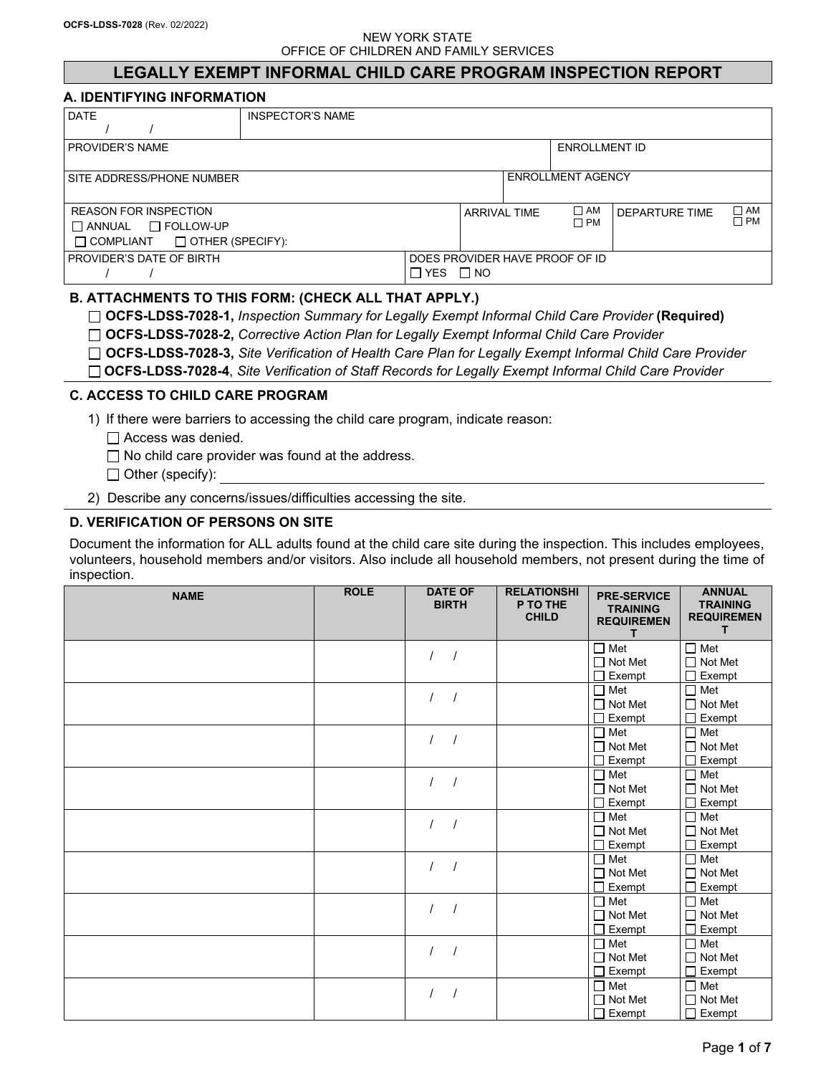# **LEGALLY EXEMPT INFORMAL CHILD CARE PROGRAM INSPECTION REPORT**

#### **A. IDENTIFYING INFORMATION**

| <b>DATE</b>                              | INSPECTOR'S NAME |       |                     |               |                                |                       |              |  |  |
|------------------------------------------|------------------|-------|---------------------|---------------|--------------------------------|-----------------------|--------------|--|--|
|                                          |                  |       |                     |               |                                |                       |              |  |  |
| I PROVIDER'S NAME                        |                  |       |                     | ENROLLMENT ID |                                |                       |              |  |  |
|                                          |                  |       |                     |               |                                |                       |              |  |  |
| I SITE ADDRESS/PHONE NUMBER              |                  |       |                     |               | <b>ENROLLMENT AGENCY</b>       |                       |              |  |  |
|                                          |                  |       |                     |               |                                |                       |              |  |  |
| <b>REASON FOR INSPECTION</b>             |                  |       | <b>ARRIVAL TIME</b> |               | $\square$ AM                   | <b>DEPARTURE TIME</b> | $\square$ AM |  |  |
| $\Box$ ANNUAL $\Box$ FOLLOW-UP           |                  |       |                     |               | $\Box$ PM                      |                       | □РМ          |  |  |
| $\Box$ COMPLIANT $\Box$ OTHER (SPECIFY): |                  |       |                     |               |                                |                       |              |  |  |
| l PROVIDER'S DATE OF BIRTH               |                  |       |                     |               | DOES PROVIDER HAVE PROOF OF ID |                       |              |  |  |
|                                          |                  | □ YES | $\Box$ NO           |               |                                |                       |              |  |  |

# **B. ATTACHMENTS TO THIS FORM: (CHECK ALL THAT APPLY.)**

**OCFS-LDSS-7028-1,** *Inspection Summary for Legally Exempt Informal Child Care Provider* **(Required)**

**OCFS-LDSS-7028-2,** *Corrective Action Plan for Legally Exempt Informal Child Care Provider*

- **OCFS-LDSS-7028-3,** *Site Verification of Health Care Plan for Legally Exempt Informal Child Care Provider*
- **OCFS-LDSS-7028-4**, *Site Verification of Staff Records for Legally Exempt Informal Child Care Provider*

### **C. ACCESS TO CHILD CARE PROGRAM**

1) If there were barriers to accessing the child care program, indicate reason:

□ Access was denied.

 $\Box$  No child care provider was found at the address.

 $\Box$  Other (specify):

2) Describe any concerns/issues/difficulties accessing the site.

#### **D. VERIFICATION OF PERSONS ON SITE**

Document the information for ALL adults found at the child care site during the inspection. This includes employees, volunteers, household members and/or visitors. Also include all household members, not present during the time of inspection.

| <b>NAME</b> | <b>ROLE</b> | <b>DATE OF</b><br><b>BIRTH</b> | <b>RELATIONSHI</b><br>P TO THE<br><b>CHILD</b> | <b>PRE-SERVICE</b><br><b>TRAINING</b><br><b>REQUIREMEN</b><br>т | <b>ANNUAL</b><br><b>TRAINING</b><br><b>REQUIREMEN</b><br>T. |
|-------------|-------------|--------------------------------|------------------------------------------------|-----------------------------------------------------------------|-------------------------------------------------------------|
|             |             | $\prime$                       |                                                | $\Box$ Met<br>$\Box$ Not Met                                    | $\Box$ Met<br>$\Box$ Not Met                                |
|             |             |                                |                                                | $\Box$ Exempt                                                   | $\Box$ Exempt                                               |
|             |             | $\prime$                       |                                                | $\Box$ Met                                                      | $\Box$ Met                                                  |
|             |             |                                |                                                | $\Box$ Not Met                                                  | $\Box$ Not Met                                              |
|             |             |                                |                                                | $\Box$ Exempt                                                   | П<br>Exempt                                                 |
|             |             | $\prime$<br>$\prime$           |                                                | $\Box$ Met<br>$\Box$ Not Met                                    | $\Box$ Met<br>$\Box$ Not Met                                |
|             |             |                                |                                                | $\sqcap$ Exempt                                                 | Exempt                                                      |
|             |             |                                |                                                | $\Box$ Met                                                      | $\Box$ Met                                                  |
|             |             | $\sqrt{ }$<br>$\prime$         |                                                | $\Box$ Not Met                                                  | $\Box$ Not Met                                              |
|             |             |                                |                                                | Exempt<br>┑                                                     | Exempt                                                      |
|             |             |                                |                                                | $\Box$ Met                                                      | $\Box$ Met                                                  |
|             |             |                                |                                                | $\Box$ Not Met                                                  | $\Box$ Not Met                                              |
|             |             |                                |                                                | $\Box$ Exempt                                                   | $\Box$<br>Exempt                                            |
|             |             | $\prime$<br>$\prime$           |                                                | $\Box$ Met                                                      | $\Box$ Met                                                  |
|             |             |                                |                                                | $\Box$ Not Met                                                  | $\Box$ Not Met                                              |
|             |             |                                |                                                | $\Box$ Exempt                                                   | Exempt                                                      |
|             |             | $\prime$<br>$\prime$           |                                                | $\Box$ Met                                                      | $\Box$ Met                                                  |
|             |             |                                |                                                | $\Box$ Not Met<br>$\Box$ Exempt                                 | $\Box$ Not Met<br>Exempt                                    |
|             |             |                                |                                                | $\Box$ Met                                                      | $\Box$ Met                                                  |
|             |             | $\sqrt{ }$<br>$\prime$         |                                                | $\Box$ Not Met                                                  | $\Box$ Not Met                                              |
|             |             |                                |                                                | $\Box$ Exempt                                                   | Exempt                                                      |
|             |             |                                |                                                | $\square$ Met                                                   | $\square$ Met                                               |
|             |             | $\prime$                       |                                                | $\Box$ Not Met                                                  | $\Box$ Not Met                                              |
|             |             |                                |                                                | $\Box$ Exempt                                                   | $\Box$ Exempt                                               |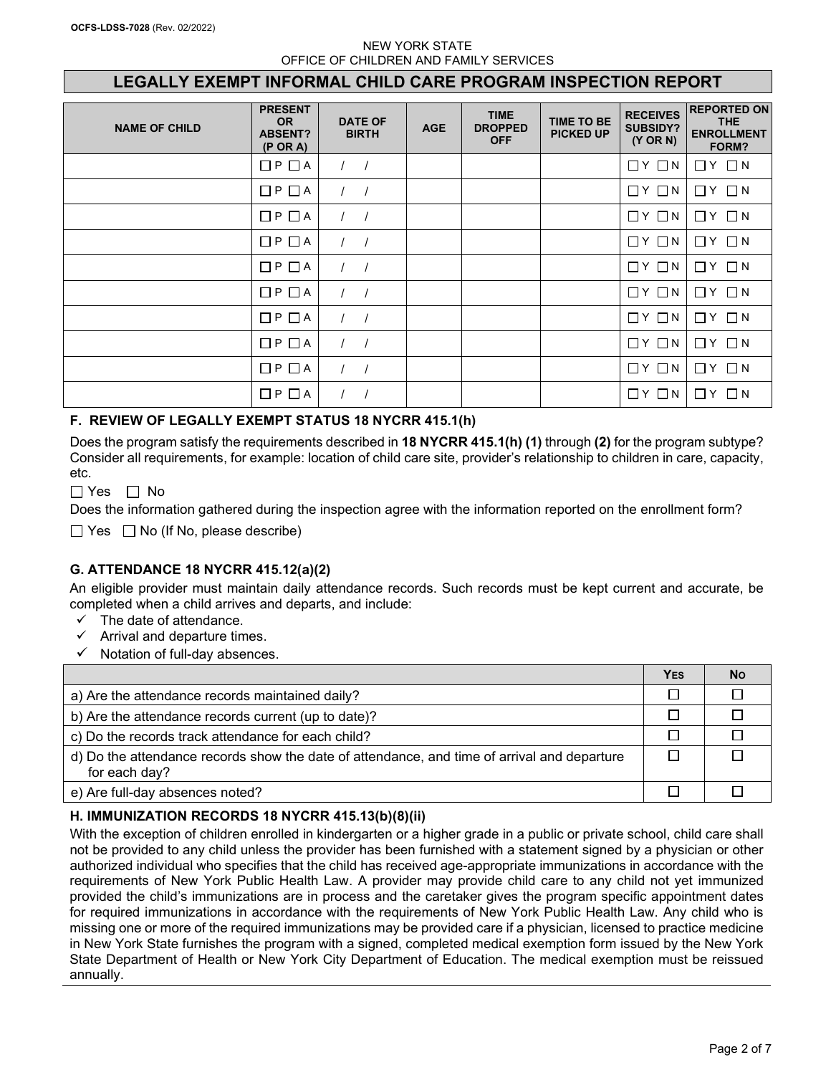# **LEGALLY EXEMPT INFORMAL CHILD CARE PROGRAM INSPECTION REPORT**

| <b>NAME OF CHILD</b> | <b>PRESENT</b><br><b>OR</b><br><b>ABSENT?</b><br>$(P \tOR A)$ | <b>DATE OF</b><br><b>BIRTH</b> | <b>AGE</b> | <b>TIME</b><br><b>DROPPED</b><br><b>OFF</b> | <b>TIME TO BE</b><br><b>PICKED UP</b> | <b>RECEIVES</b><br><b>SUBSIDY?</b><br>(Y OR N) | <b>REPORTED ON</b><br><b>THE</b><br><b>ENROLLMENT</b><br>FORM? |
|----------------------|---------------------------------------------------------------|--------------------------------|------------|---------------------------------------------|---------------------------------------|------------------------------------------------|----------------------------------------------------------------|
|                      | □ P □ A                                                       |                                |            |                                             |                                       | $\Box$ $Y$ $\Box$ $N$                          | $\Box$ $Y$ $\Box$ $N$                                          |
|                      | □P □ A                                                        |                                |            |                                             |                                       | $\Box$ $Y$ $\Box$ $N$                          | $\Box$ $Y$ $\Box$ $N$                                          |
|                      | $\square$ $\vdash$ $\square$ $\land$                          |                                |            |                                             |                                       | $\Box$ $Y$ $\Box$ $N$                          | $\Box$ $Y$ $\Box$ $N$                                          |
|                      | $\square$ P $\square$ A                                       |                                |            |                                             |                                       | $\Box$ $Y$ $\Box$ $N$                          | $\Box$ $Y$ $\Box$ $N$                                          |
|                      | □P □ A                                                        | $\sqrt{ }$                     |            |                                             |                                       | $\Box$ $Y$ $\Box$ $N$                          | $\Box$ $\Upsilon$ $\Box$ $N$                                   |
|                      | $\Box$ P $\Box$ A                                             |                                |            |                                             |                                       | $\Box$ $Y$ $\Box$ $N$                          | $\Box$ $Y$ $\Box$ $N$                                          |
|                      | □ P □ A                                                       |                                |            |                                             |                                       | $\Box$ $Y$ $\Box$ $N$                          | $\Box$ $Y$ $\Box$ $N$                                          |
|                      | □ P □ A                                                       | $\sqrt{ }$                     |            |                                             |                                       | $\Box$ $Y$ $\Box$ $N$                          | $\Box$ $Y$ $\Box$ $N$                                          |
|                      | □ P □ A                                                       |                                |            |                                             |                                       | $\Box$ $Y$ $\Box$ $N$                          | $\Box$ $Y$ $\Box$ $N$                                          |
|                      | $\square$ $\mathsf{P}\ \square$ $\mathsf{A}$                  |                                |            |                                             |                                       | $\Box$ $Y$ $\Box$ $N$                          | $\Box$ $Y$ $\Box$ $N$                                          |

# **F. REVIEW OF LEGALLY EXEMPT STATUS 18 NYCRR 415.1(h)**

Does the program satisfy the requirements described in **18 NYCRR 415.1(h) (1)** through **(2)** for the program subtype? Consider all requirements, for example: location of child care site, provider's relationship to children in care, capacity, etc.

 $\Box$  Yes  $\Box$  No

Does the information gathered during the inspection agree with the information reported on the enrollment form?

 $\Box$  Yes  $\Box$  No (If No, please describe)

# **G. ATTENDANCE 18 NYCRR 415.12(a)(2)**

An eligible provider must maintain daily attendance records. Such records must be kept current and accurate, be completed when a child arrives and departs, and include:

- $\checkmark$  The date of attendance.
- $\checkmark$  Arrival and departure times.
- $\checkmark$  Notation of full-day absences.

|                                                                                                              | YES | <b>No</b> |
|--------------------------------------------------------------------------------------------------------------|-----|-----------|
| a) Are the attendance records maintained daily?                                                              |     |           |
| b) Are the attendance records current (up to date)?                                                          |     |           |
| c) Do the records track attendance for each child?                                                           |     |           |
| d) Do the attendance records show the date of attendance, and time of arrival and departure<br>for each day? |     |           |
| e) Are full-day absences noted?                                                                              |     |           |

#### **H. IMMUNIZATION RECORDS 18 NYCRR 415.13(b)(8)(ii)**

With the exception of children enrolled in kindergarten or a higher grade in a public or private school, child care shall not be provided to any child unless the provider has been furnished with a statement signed by a physician or other authorized individual who specifies that the child has received age-appropriate immunizations in accordance with the requirements of New York Public Health Law. A provider may provide child care to any child not yet immunized provided the child's immunizations are in process and the caretaker gives the program specific appointment dates for required immunizations in accordance with the requirements of New York Public Health Law. Any child who is missing one or more of the required immunizations may be provided care if a physician, licensed to practice medicine in New York State furnishes the program with a signed, completed medical exemption form issued by the New York State Department of Health or New York City Department of Education. The medical exemption must be reissued annually.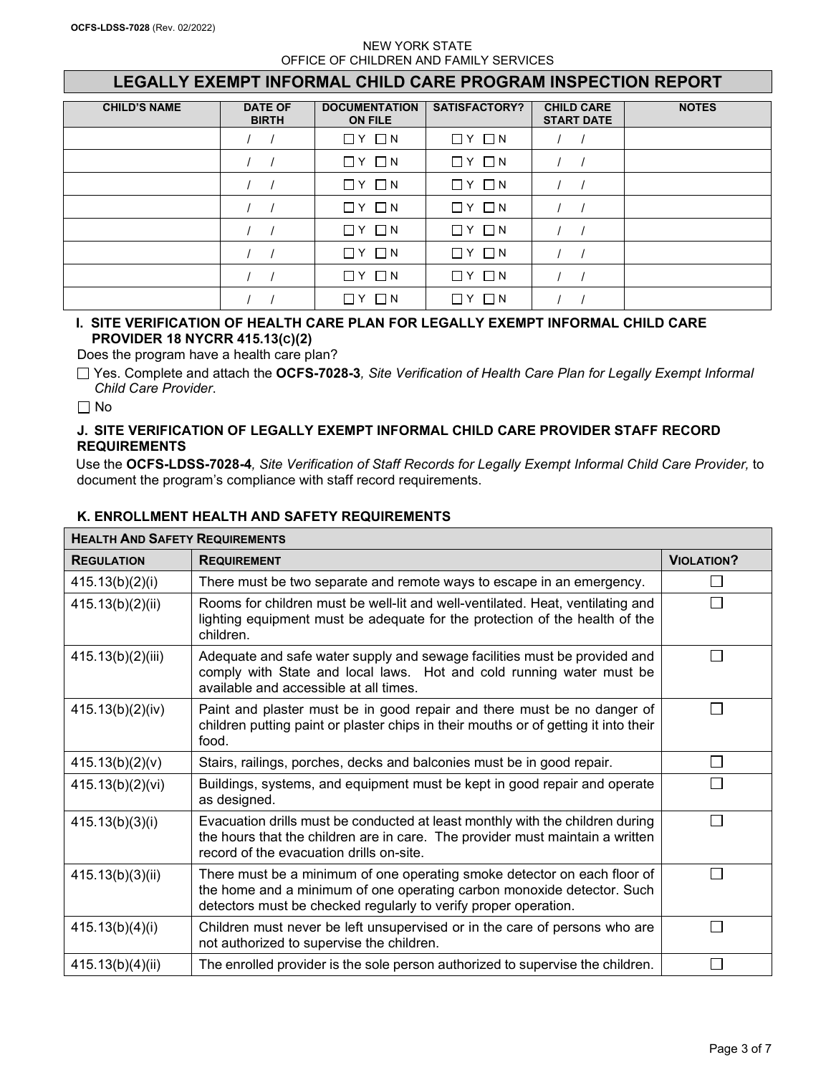# **LEGALLY EXEMPT INFORMAL CHILD CARE PROGRAM INSPECTION REPORT**

| <b>CHILD'S NAME</b> | <b>DATE OF</b><br><b>BIRTH</b> | <b>DOCUMENTATION</b><br><b>ON FILE</b> | SATISFACTORY?         | <b>CHILD CARE</b><br><b>START DATE</b> | <b>NOTES</b> |
|---------------------|--------------------------------|----------------------------------------|-----------------------|----------------------------------------|--------------|
|                     |                                | $\Box$ $Y$ $\Box$ $N$                  | $\Box$ $Y$ $\Box$ $N$ |                                        |              |
|                     |                                | $\Box$ $Y$ $\Box$ $N$                  | $\Box$ $Y$ $\Box$ $N$ |                                        |              |
|                     |                                | $\Box$ $Y$ $\Box$ $N$                  | $\Box$ $Y$ $\Box$ $N$ |                                        |              |
|                     |                                | $\Box$ $Y$ $\Box$ $N$                  | $\Box$ $Y$ $\Box$ $N$ |                                        |              |
|                     |                                | $\Box$ $Y$ $\Box$ $N$                  | $Y \Box N$<br>П       |                                        |              |
|                     |                                | $\Box$ $Y$ $\Box$ $N$                  | $\Box$ $Y$ $\Box$ $N$ |                                        |              |
|                     |                                | $\Box$ $Y$ $\Box$ $N$                  | Y □ N<br>П            |                                        |              |
|                     |                                | $\Box$ N<br>ПY                         | $\Box N$<br>П<br>Υ    |                                        |              |

### **I. SITE VERIFICATION OF HEALTH CARE PLAN FOR LEGALLY EXEMPT INFORMAL CHILD CARE PROVIDER 18 NYCRR 415.13(C)(2)**

Does the program have a health care plan?

Yes. Complete and attach the **OCFS-7028-3***, Site Verification of Health Care Plan for Legally Exempt Informal Child Care Provider*.

 $\Box$  No

### **J. SITE VERIFICATION OF LEGALLY EXEMPT INFORMAL CHILD CARE PROVIDER STAFF RECORD REQUIREMENTS**

Use the **OCFS-LDSS-7028-4***, Site Verification of Staff Records for Legally Exempt Informal Child Care Provider,* to document the program's compliance with staff record requirements.

| <b>HEALTH AND SAFETY REQUIREMENTS</b> |                                                                                                                                                                                                                       |                   |  |  |
|---------------------------------------|-----------------------------------------------------------------------------------------------------------------------------------------------------------------------------------------------------------------------|-------------------|--|--|
| <b>REGULATION</b>                     | <b>REQUIREMENT</b>                                                                                                                                                                                                    | <b>VIOLATION?</b> |  |  |
| 415.13(b)(2)(i)                       | There must be two separate and remote ways to escape in an emergency.                                                                                                                                                 |                   |  |  |
| 415.13(b)(2)(ii)                      | Rooms for children must be well-lit and well-ventilated. Heat, ventilating and<br>lighting equipment must be adequate for the protection of the health of the<br>children.                                            |                   |  |  |
| 415.13(b)(2)(iii)                     | Adequate and safe water supply and sewage facilities must be provided and<br>comply with State and local laws. Hot and cold running water must be<br>available and accessible at all times.                           |                   |  |  |
| 415.13(b)(2)(iv)                      | Paint and plaster must be in good repair and there must be no danger of<br>children putting paint or plaster chips in their mouths or of getting it into their<br>food.                                               |                   |  |  |
| 415.13(b)(2)(v)                       | Stairs, railings, porches, decks and balconies must be in good repair.                                                                                                                                                |                   |  |  |
| 415.13(b)(2)(vi)                      | Buildings, systems, and equipment must be kept in good repair and operate<br>as designed.                                                                                                                             |                   |  |  |
| 415.13(b)(3)(i)                       | Evacuation drills must be conducted at least monthly with the children during<br>the hours that the children are in care. The provider must maintain a written<br>record of the evacuation drills on-site.            |                   |  |  |
| 415.13(b)(3)(ii)                      | There must be a minimum of one operating smoke detector on each floor of<br>the home and a minimum of one operating carbon monoxide detector. Such<br>detectors must be checked regularly to verify proper operation. |                   |  |  |
| 415.13(b)(4)(i)                       | Children must never be left unsupervised or in the care of persons who are<br>not authorized to supervise the children.                                                                                               |                   |  |  |
| 415.13(b)(4)(ii)                      | The enrolled provider is the sole person authorized to supervise the children.                                                                                                                                        |                   |  |  |

# **K. ENROLLMENT HEALTH AND SAFETY REQUIREMENTS**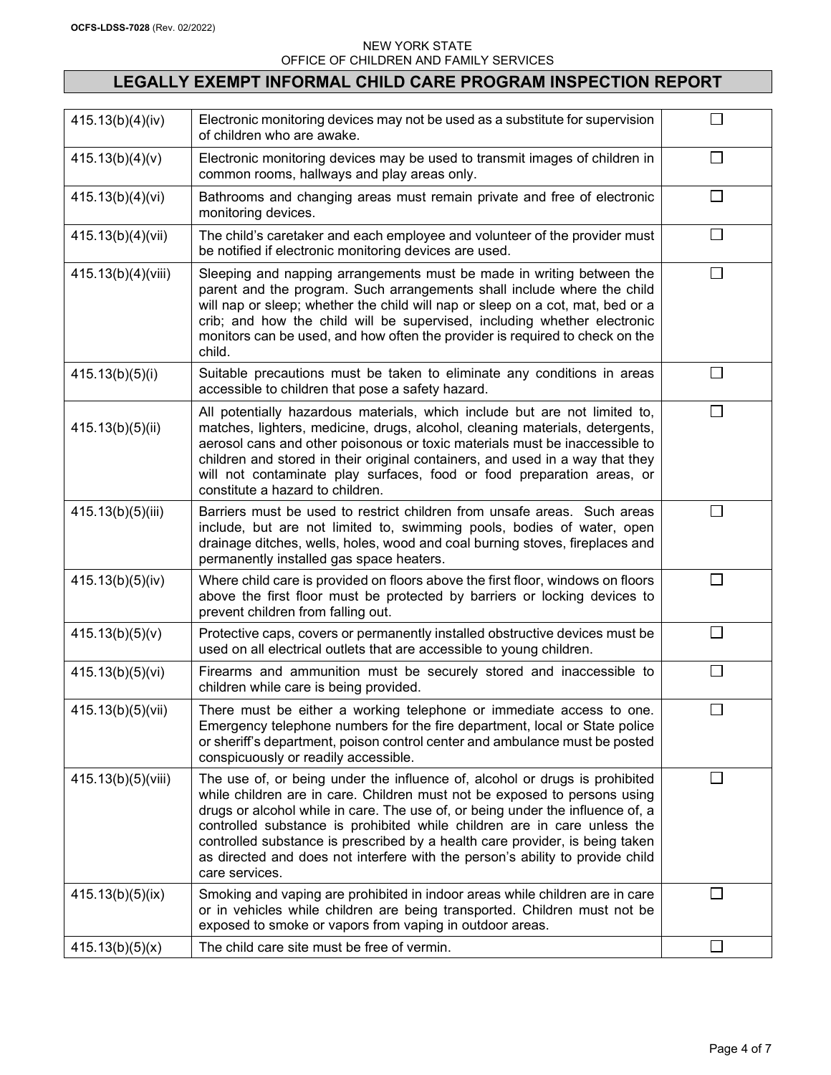# **LEGALLY EXEMPT INFORMAL CHILD CARE PROGRAM INSPECTION REPORT**

| 415.13(b)(4)(iv)   | Electronic monitoring devices may not be used as a substitute for supervision<br>of children who are awake.                                                                                                                                                                                                                                                                                                                                                                                               |                |
|--------------------|-----------------------------------------------------------------------------------------------------------------------------------------------------------------------------------------------------------------------------------------------------------------------------------------------------------------------------------------------------------------------------------------------------------------------------------------------------------------------------------------------------------|----------------|
| 415.13(b)(4)(v)    | Electronic monitoring devices may be used to transmit images of children in<br>common rooms, hallways and play areas only.                                                                                                                                                                                                                                                                                                                                                                                | $\Box$         |
| 415.13(b)(4)(vi)   | Bathrooms and changing areas must remain private and free of electronic<br>monitoring devices.                                                                                                                                                                                                                                                                                                                                                                                                            | $\perp$        |
| 415.13(b)(4)(vii)  | The child's caretaker and each employee and volunteer of the provider must<br>be notified if electronic monitoring devices are used.                                                                                                                                                                                                                                                                                                                                                                      | $\mathbf{1}$   |
| 415.13(b)(4)(viii) | Sleeping and napping arrangements must be made in writing between the<br>parent and the program. Such arrangements shall include where the child<br>will nap or sleep; whether the child will nap or sleep on a cot, mat, bed or a<br>crib; and how the child will be supervised, including whether electronic<br>monitors can be used, and how often the provider is required to check on the<br>child.                                                                                                  | П              |
| 415.13(b)(5)(i)    | Suitable precautions must be taken to eliminate any conditions in areas<br>accessible to children that pose a safety hazard.                                                                                                                                                                                                                                                                                                                                                                              | $\perp$        |
| 415.13(b)(5)(ii)   | All potentially hazardous materials, which include but are not limited to,<br>matches, lighters, medicine, drugs, alcohol, cleaning materials, detergents,<br>aerosol cans and other poisonous or toxic materials must be inaccessible to<br>children and stored in their original containers, and used in a way that they<br>will not contaminate play surfaces, food or food preparation areas, or<br>constitute a hazard to children.                                                                  | П              |
| 415.13(b)(5)(iii)  | Barriers must be used to restrict children from unsafe areas. Such areas<br>include, but are not limited to, swimming pools, bodies of water, open<br>drainage ditches, wells, holes, wood and coal burning stoves, fireplaces and<br>permanently installed gas space heaters.                                                                                                                                                                                                                            | $\blacksquare$ |
| 415.13(b)(5)(iv)   | Where child care is provided on floors above the first floor, windows on floors<br>above the first floor must be protected by barriers or locking devices to<br>prevent children from falling out.                                                                                                                                                                                                                                                                                                        | $\blacksquare$ |
| 415.13(b)(5)(v)    | Protective caps, covers or permanently installed obstructive devices must be<br>used on all electrical outlets that are accessible to young children.                                                                                                                                                                                                                                                                                                                                                     |                |
| 415.13(b)(5)(vi)   | Firearms and ammunition must be securely stored and inaccessible to<br>children while care is being provided.                                                                                                                                                                                                                                                                                                                                                                                             | $\Box$         |
| 415.13(b)(5)(vii)  | There must be either a working telephone or immediate access to one.<br>Emergency telephone numbers for the fire department, local or State police<br>or sheriff's department, poison control center and ambulance must be posted<br>conspicuously or readily accessible.                                                                                                                                                                                                                                 | □              |
| 415.13(b)(5)(viii) | The use of, or being under the influence of, alcohol or drugs is prohibited<br>while children are in care. Children must not be exposed to persons using<br>drugs or alcohol while in care. The use of, or being under the influence of, a<br>controlled substance is prohibited while children are in care unless the<br>controlled substance is prescribed by a health care provider, is being taken<br>as directed and does not interfere with the person's ability to provide child<br>care services. | $\Box$         |
| 415.13(b)(5)(ix)   | Smoking and vaping are prohibited in indoor areas while children are in care<br>or in vehicles while children are being transported. Children must not be<br>exposed to smoke or vapors from vaping in outdoor areas.                                                                                                                                                                                                                                                                                     | l. I           |
| 415.13(b)(5)(x)    | The child care site must be free of vermin.                                                                                                                                                                                                                                                                                                                                                                                                                                                               | $\mathcal{L}$  |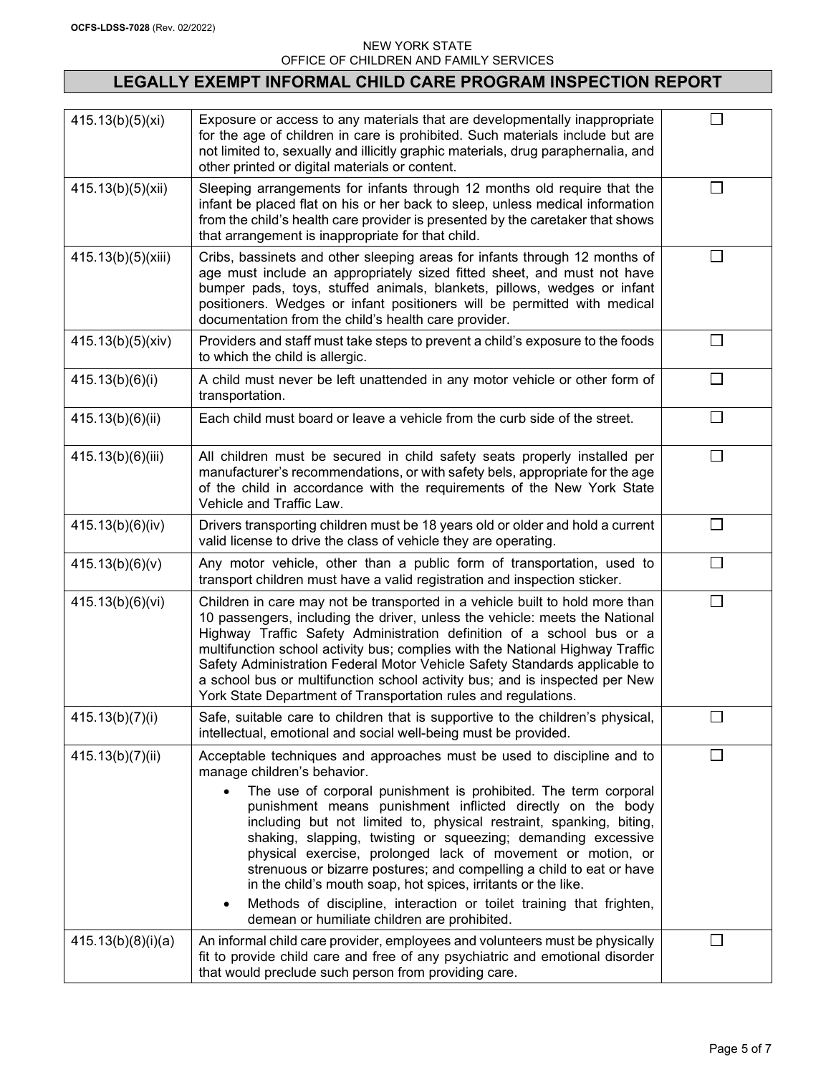# **LEGALLY EXEMPT INFORMAL CHILD CARE PROGRAM INSPECTION REPORT**

| 415.13(b)(5)(xi)   | Exposure or access to any materials that are developmentally inappropriate<br>for the age of children in care is prohibited. Such materials include but are<br>not limited to, sexually and illicitly graphic materials, drug paraphernalia, and<br>other printed or digital materials or content.                                                                                                                                                                                                                                                                                                                                                                                                                                       | $\mathbf{I}$ |
|--------------------|------------------------------------------------------------------------------------------------------------------------------------------------------------------------------------------------------------------------------------------------------------------------------------------------------------------------------------------------------------------------------------------------------------------------------------------------------------------------------------------------------------------------------------------------------------------------------------------------------------------------------------------------------------------------------------------------------------------------------------------|--------------|
| 415.13(b)(5)(xii)  | Sleeping arrangements for infants through 12 months old require that the<br>infant be placed flat on his or her back to sleep, unless medical information<br>from the child's health care provider is presented by the caretaker that shows<br>that arrangement is inappropriate for that child.                                                                                                                                                                                                                                                                                                                                                                                                                                         | $\perp$      |
| 415.13(b)(5)(xiii) | Cribs, bassinets and other sleeping areas for infants through 12 months of<br>age must include an appropriately sized fitted sheet, and must not have<br>bumper pads, toys, stuffed animals, blankets, pillows, wedges or infant<br>positioners. Wedges or infant positioners will be permitted with medical<br>documentation from the child's health care provider.                                                                                                                                                                                                                                                                                                                                                                     | П            |
| 415.13(b)(5)(xiv)  | Providers and staff must take steps to prevent a child's exposure to the foods<br>to which the child is allergic.                                                                                                                                                                                                                                                                                                                                                                                                                                                                                                                                                                                                                        | $\Box$       |
| 415.13(b)(6)(i)    | A child must never be left unattended in any motor vehicle or other form of<br>transportation.                                                                                                                                                                                                                                                                                                                                                                                                                                                                                                                                                                                                                                           | $\Box$       |
| 415.13(b)(6)(ii)   | Each child must board or leave a vehicle from the curb side of the street.                                                                                                                                                                                                                                                                                                                                                                                                                                                                                                                                                                                                                                                               | П            |
| 415.13(b)(6)(iii)  | All children must be secured in child safety seats properly installed per<br>manufacturer's recommendations, or with safety bels, appropriate for the age<br>of the child in accordance with the requirements of the New York State<br>Vehicle and Traffic Law.                                                                                                                                                                                                                                                                                                                                                                                                                                                                          | $\Box$       |
| 415.13(b)(6)(iv)   | Drivers transporting children must be 18 years old or older and hold a current<br>valid license to drive the class of vehicle they are operating.                                                                                                                                                                                                                                                                                                                                                                                                                                                                                                                                                                                        | П            |
| 415.13(b)(6)(v)    | Any motor vehicle, other than a public form of transportation, used to<br>transport children must have a valid registration and inspection sticker.                                                                                                                                                                                                                                                                                                                                                                                                                                                                                                                                                                                      | П            |
| 415.13(b)(6)(vi)   | Children in care may not be transported in a vehicle built to hold more than<br>10 passengers, including the driver, unless the vehicle: meets the National<br>Highway Traffic Safety Administration definition of a school bus or a<br>multifunction school activity bus; complies with the National Highway Traffic<br>Safety Administration Federal Motor Vehicle Safety Standards applicable to<br>a school bus or multifunction school activity bus; and is inspected per New<br>York State Department of Transportation rules and regulations.                                                                                                                                                                                     | $\perp$      |
| 415.13(b)(7)(i)    | Safe, suitable care to children that is supportive to the children's physical,<br>intellectual, emotional and social well-being must be provided.                                                                                                                                                                                                                                                                                                                                                                                                                                                                                                                                                                                        | $\Box$       |
| 415.13(b)(7)(ii)   | Acceptable techniques and approaches must be used to discipline and to<br>manage children's behavior.<br>The use of corporal punishment is prohibited. The term corporal<br>$\bullet$<br>punishment means punishment inflicted directly on the body<br>including but not limited to, physical restraint, spanking, biting,<br>shaking, slapping, twisting or squeezing; demanding excessive<br>physical exercise, prolonged lack of movement or motion, or<br>strenuous or bizarre postures; and compelling a child to eat or have<br>in the child's mouth soap, hot spices, irritants or the like.<br>Methods of discipline, interaction or toilet training that frighten,<br>$\bullet$<br>demean or humiliate children are prohibited. | $\Box$       |
| 415.13(b)(8)(i)(a) | An informal child care provider, employees and volunteers must be physically<br>fit to provide child care and free of any psychiatric and emotional disorder<br>that would preclude such person from providing care.                                                                                                                                                                                                                                                                                                                                                                                                                                                                                                                     | $\Box$       |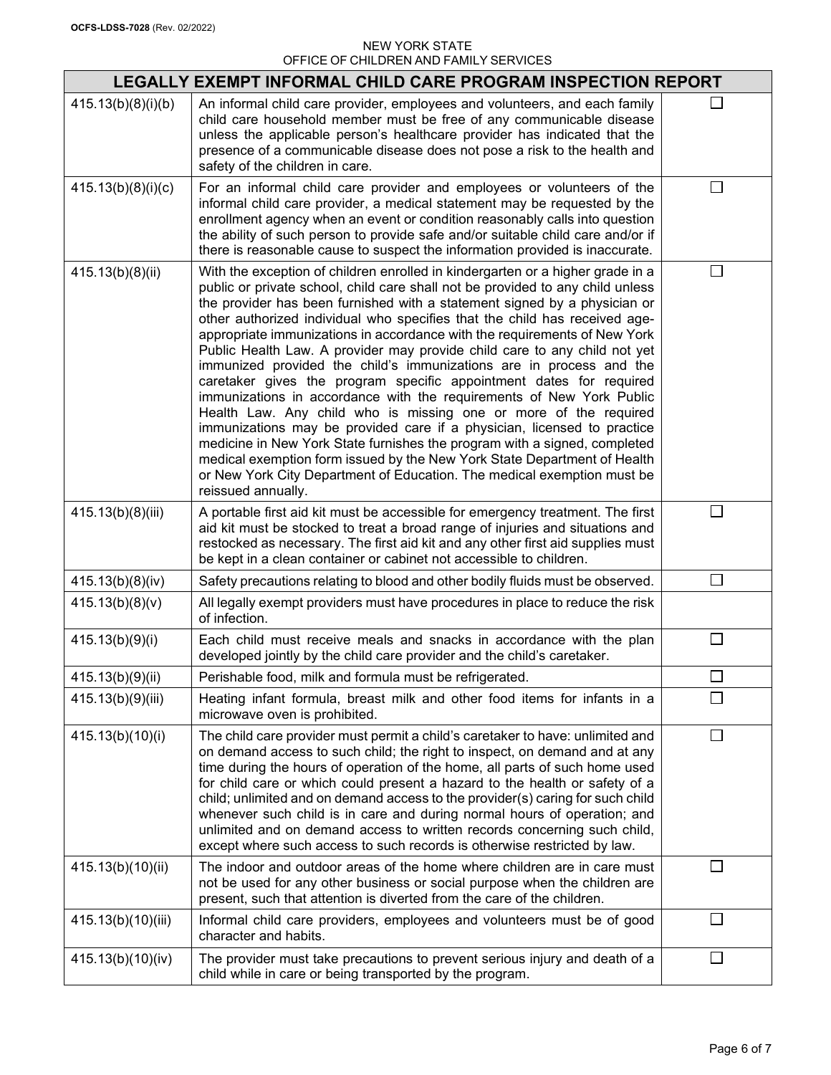|                    | LEGALLY EXEMPT INFORMAL CHILD CARE PROGRAM INSPECTION REPORT                                                                                                                                                                                                                                                                                                                                                                                                                                                                                                                                                                                                                                                                                                                                                                                                                                                                                                                                                                                                                                                         |          |
|--------------------|----------------------------------------------------------------------------------------------------------------------------------------------------------------------------------------------------------------------------------------------------------------------------------------------------------------------------------------------------------------------------------------------------------------------------------------------------------------------------------------------------------------------------------------------------------------------------------------------------------------------------------------------------------------------------------------------------------------------------------------------------------------------------------------------------------------------------------------------------------------------------------------------------------------------------------------------------------------------------------------------------------------------------------------------------------------------------------------------------------------------|----------|
| 415.13(b)(8)(i)(b) | An informal child care provider, employees and volunteers, and each family<br>child care household member must be free of any communicable disease<br>unless the applicable person's healthcare provider has indicated that the<br>presence of a communicable disease does not pose a risk to the health and<br>safety of the children in care.                                                                                                                                                                                                                                                                                                                                                                                                                                                                                                                                                                                                                                                                                                                                                                      |          |
| 415.13(b)(8)(i)(c) | For an informal child care provider and employees or volunteers of the<br>informal child care provider, a medical statement may be requested by the<br>enrollment agency when an event or condition reasonably calls into question<br>the ability of such person to provide safe and/or suitable child care and/or if<br>there is reasonable cause to suspect the information provided is inaccurate.                                                                                                                                                                                                                                                                                                                                                                                                                                                                                                                                                                                                                                                                                                                |          |
| 415.13(b)(8)(ii)   | With the exception of children enrolled in kindergarten or a higher grade in a<br>public or private school, child care shall not be provided to any child unless<br>the provider has been furnished with a statement signed by a physician or<br>other authorized individual who specifies that the child has received age-<br>appropriate immunizations in accordance with the requirements of New York<br>Public Health Law. A provider may provide child care to any child not yet<br>immunized provided the child's immunizations are in process and the<br>caretaker gives the program specific appointment dates for required<br>immunizations in accordance with the requirements of New York Public<br>Health Law. Any child who is missing one or more of the required<br>immunizations may be provided care if a physician, licensed to practice<br>medicine in New York State furnishes the program with a signed, completed<br>medical exemption form issued by the New York State Department of Health<br>or New York City Department of Education. The medical exemption must be<br>reissued annually. |          |
| 415.13(b)(8)(iii)  | A portable first aid kit must be accessible for emergency treatment. The first<br>aid kit must be stocked to treat a broad range of injuries and situations and<br>restocked as necessary. The first aid kit and any other first aid supplies must<br>be kept in a clean container or cabinet not accessible to children.                                                                                                                                                                                                                                                                                                                                                                                                                                                                                                                                                                                                                                                                                                                                                                                            | П        |
| 415.13(b)(8)(iv)   | Safety precautions relating to blood and other bodily fluids must be observed.                                                                                                                                                                                                                                                                                                                                                                                                                                                                                                                                                                                                                                                                                                                                                                                                                                                                                                                                                                                                                                       | $\Box$   |
| 415.13(b)(8)(v)    | All legally exempt providers must have procedures in place to reduce the risk<br>of infection.                                                                                                                                                                                                                                                                                                                                                                                                                                                                                                                                                                                                                                                                                                                                                                                                                                                                                                                                                                                                                       |          |
| 415.13(b)(9)(i)    | Each child must receive meals and snacks in accordance with the plan<br>developed jointly by the child care provider and the child's caretaker.                                                                                                                                                                                                                                                                                                                                                                                                                                                                                                                                                                                                                                                                                                                                                                                                                                                                                                                                                                      | П        |
| 415.13(b)(9)(ii)   | Perishable food, milk and formula must be refrigerated.                                                                                                                                                                                                                                                                                                                                                                                                                                                                                                                                                                                                                                                                                                                                                                                                                                                                                                                                                                                                                                                              | m.       |
| 415.13(b)(9)(iii)  | Heating infant formula, breast milk and other food items for infants in a<br>microwave oven is prohibited.                                                                                                                                                                                                                                                                                                                                                                                                                                                                                                                                                                                                                                                                                                                                                                                                                                                                                                                                                                                                           |          |
| 415.13(b)(10)(i)   | The child care provider must permit a child's caretaker to have: unlimited and<br>on demand access to such child; the right to inspect, on demand and at any<br>time during the hours of operation of the home, all parts of such home used<br>for child care or which could present a hazard to the health or safety of a<br>child; unlimited and on demand access to the provider(s) caring for such child<br>whenever such child is in care and during normal hours of operation; and<br>unlimited and on demand access to written records concerning such child,<br>except where such access to such records is otherwise restricted by law.                                                                                                                                                                                                                                                                                                                                                                                                                                                                     | $\perp$  |
| 415.13(b)(10)(ii)  | The indoor and outdoor areas of the home where children are in care must<br>not be used for any other business or social purpose when the children are<br>present, such that attention is diverted from the care of the children.                                                                                                                                                                                                                                                                                                                                                                                                                                                                                                                                                                                                                                                                                                                                                                                                                                                                                    | $\sim 1$ |
| 415.13(b)(10)(iii) | Informal child care providers, employees and volunteers must be of good<br>character and habits.                                                                                                                                                                                                                                                                                                                                                                                                                                                                                                                                                                                                                                                                                                                                                                                                                                                                                                                                                                                                                     | $\perp$  |
| 415.13(b)(10)(iv)  | The provider must take precautions to prevent serious injury and death of a<br>child while in care or being transported by the program.                                                                                                                                                                                                                                                                                                                                                                                                                                                                                                                                                                                                                                                                                                                                                                                                                                                                                                                                                                              | $\Box$   |